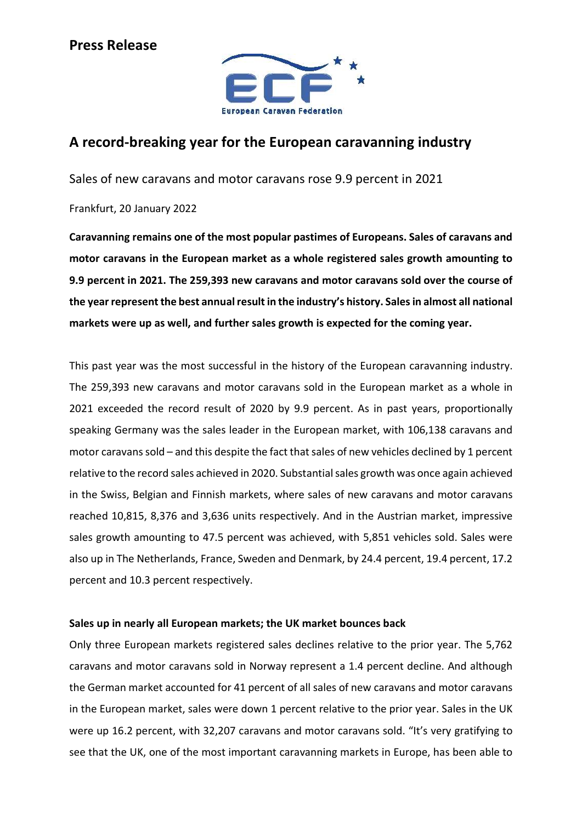

# A record-breaking year for the European caravanning industry

Sales of new caravans and motor caravans rose 9.9 percent in 2021

Frankfurt, 20 January 2022

Caravanning remains one of the most popular pastimes of Europeans. Sales of caravans and motor caravans in the European market as a whole registered sales growth amounting to 9.9 percent in 2021. The 259,393 new caravans and motor caravans sold over the course of the year represent the best annual result in the industry's history. Sales in almost all national markets were up as well, and further sales growth is expected for the coming year.

This past year was the most successful in the history of the European caravanning industry. The 259,393 new caravans and motor caravans sold in the European market as a whole in 2021 exceeded the record result of 2020 by 9.9 percent. As in past years, proportionally speaking Germany was the sales leader in the European market, with 106,138 caravans and motor caravans sold – and this despite the fact that sales of new vehicles declined by 1 percent relative to the record sales achieved in 2020. Substantial sales growth was once again achieved in the Swiss, Belgian and Finnish markets, where sales of new caravans and motor caravans reached 10,815, 8,376 and 3,636 units respectively. And in the Austrian market, impressive sales growth amounting to 47.5 percent was achieved, with 5,851 vehicles sold. Sales were also up in The Netherlands, France, Sweden and Denmark, by 24.4 percent, 19.4 percent, 17.2 percent and 10.3 percent respectively.

## Sales up in nearly all European markets; the UK market bounces back

Only three European markets registered sales declines relative to the prior year. The 5,762 caravans and motor caravans sold in Norway represent a 1.4 percent decline. And although the German market accounted for 41 percent of all sales of new caravans and motor caravans in the European market, sales were down 1 percent relative to the prior year. Sales in the UK were up 16.2 percent, with 32,207 caravans and motor caravans sold. "It's very gratifying to see that the UK, one of the most important caravanning markets in Europe, has been able to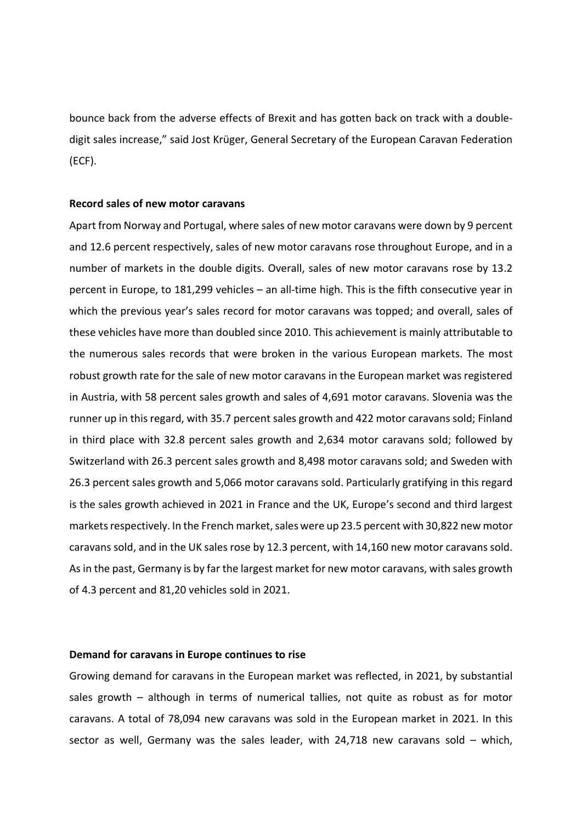bounce back from the adverse effects of Brexit and has gotten back on track with a doubledigit sales increase," said Jost Krüger, General Secretary of the European Caravan Federation (ECF).

### Record sales of new motor caravans

Apart from Norway and Portugal, where sales of new motor caravans were down by 9 percent and 12.6 percent respectively, sales of new motor caravans rose throughout Europe, and in a number of markets in the double digits. Overall, sales of new motor caravans rose by 13.2 percent in Europe, to 181,299 vehicles – an all-time high. This is the fifth consecutive year in which the previous year's sales record for motor caravans was topped; and overall, sales of these vehicles have more than doubled since 2010. This achievement is mainly attributable to the numerous sales records that were broken in the various European markets. The most robust growth rate for the sale of new motor caravans in the European market was registered in Austria, with 58 percent sales growth and sales of 4,691 motor caravans. Slovenia was the runner up in this regard, with 35.7 percent sales growth and 422 motor caravans sold; Finland in third place with 32.8 percent sales growth and 2,634 motor caravans sold; followed by Switzerland with 26.3 percent sales growth and 8,498 motor caravans sold; and Sweden with 26.3 percent sales growth and 5,066 motor caravans sold. Particularly gratifying in this regard is the sales growth achieved in 2021 in France and the UK, Europe's second and third largest markets respectively. In the French market, sales were up 23.5 percent with 30,822 new motor caravans sold, and in the UK sales rose by 12.3 percent, with 14,160 new motor caravans sold. As in the past, Germany is by far the largest market for new motor caravans, with sales growth of 4.3 percent and 81,20 vehicles sold in 2021.

#### Demand for caravans in Europe continues to rise

Growing demand for caravans in the European market was reflected, in 2021, by substantial sales growth – although in terms of numerical tallies, not quite as robust as for motor caravans. A total of 78,094 new caravans was sold in the European market in 2021. In this sector as well, Germany was the sales leader, with 24,718 new caravans sold – which,